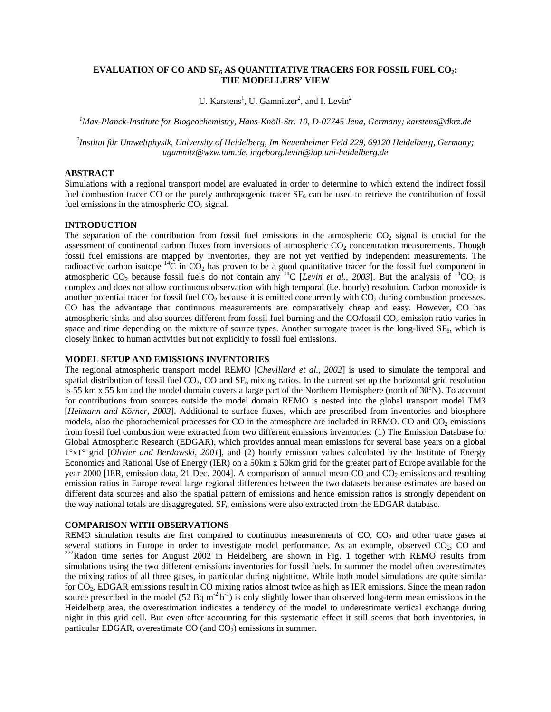# **EVALUATION OF CO AND SF6 AS QUANTITATIVE TRACERS FOR FOSSIL FUEL CO2: THE MODELLERS' VIEW**

U. Karstens<sup>1</sup>, U. Gamnitzer<sup>2</sup>, and I. Levin<sup>2</sup>

*1 Max-Planck-Institute for Biogeochemistry, Hans-Knöll-Str. 10, D-07745 Jena, Germany; karstens@dkrz.de* 

*2 Institut für Umweltphysik, University of Heidelberg, Im Neuenheimer Feld 229, 69120 Heidelberg, Germany; ugamnitz@wzw.tum.de, ingeborg.levin@iup.uni-heidelberg.de* 

# **ABSTRACT**

Simulations with a regional transport model are evaluated in order to determine to which extend the indirect fossil fuel combustion tracer CO or the purely anthropogenic tracer  $SF<sub>6</sub>$  can be used to retrieve the contribution of fossil fuel emissions in the atmospheric  $CO<sub>2</sub>$  signal.

#### **INTRODUCTION**

The separation of the contribution from fossil fuel emissions in the atmospheric  $CO_2$  signal is crucial for the assessment of continental carbon fluxes from inversions of atmospheric CO<sub>2</sub> concentration measurements. Though fossil fuel emissions are mapped by inventories, they are not yet verified by independent measurements. The radioactive carbon isotope  ${}^{14}C$  in CO<sub>2</sub> has proven to be a good quantitative tracer for the fossil fuel component in atmospheric CO<sub>2</sub> because fossil fuels do not contain any <sup>14</sup>C [*Levin et al., 2003*]. But the analysis of <sup>14</sup>CO<sub>2</sub> is complex and does not allow continuous observation with high temporal (i.e. hourly) resolution. Carbon monoxide is another potential tracer for fossil fuel  $CO<sub>2</sub>$  because it is emitted concurrently with  $CO<sub>2</sub>$  during combustion processes. CO has the advantage that continuous measurements are comparatively cheap and easy. However, CO has atmospheric sinks and also sources different from fossil fuel burning and the CO/fossil CO<sub>2</sub> emission ratio varies in space and time depending on the mixture of source types. Another surrogate tracer is the long-lived  $SF<sub>6</sub>$ , which is closely linked to human activities but not explicitly to fossil fuel emissions.

### **MODEL SETUP AND EMISSIONS INVENTORIES**

The regional atmospheric transport model REMO [*Chevillard et al., 2002*] is used to simulate the temporal and spatial distribution of fossil fuel  $CO_2$ ,  $CO$  and  $SF_6$  mixing ratios. In the current set up the horizontal grid resolution is 55 km x 55 km and the model domain covers a large part of the Northern Hemisphere (north of 30ºN). To account for contributions from sources outside the model domain REMO is nested into the global transport model TM3 [*Heimann and Körner, 2003*]. Additional to surface fluxes, which are prescribed from inventories and biosphere models, also the photochemical processes for CO in the atmosphere are included in REMO. CO and  $CO<sub>2</sub>$  emissions from fossil fuel combustion were extracted from two different emissions inventories: (1) The Emission Database for Global Atmospheric Research (EDGAR), which provides annual mean emissions for several base years on a global 1°x1° grid [*Olivier and Berdowski, 2001*], and (2) hourly emission values calculated by the Institute of Energy Economics and Rational Use of Energy (IER) on a 50km x 50km grid for the greater part of Europe available for the year 2000 [IER, emission data, 21 Dec. 2004]. A comparison of annual mean CO and  $CO<sub>2</sub>$  emissions and resulting emission ratios in Europe reveal large regional differences between the two datasets because estimates are based on different data sources and also the spatial pattern of emissions and hence emission ratios is strongly dependent on the way national totals are disaggregated.  $SF<sub>6</sub>$  emissions were also extracted from the EDGAR database.

### **COMPARISON WITH OBSERVATIONS**

REMO simulation results are first compared to continuous measurements of  $CO$ ,  $CO<sub>2</sub>$  and other trace gases at several stations in Europe in order to investigate model performance. As an example, observed  $CO_2$ , CO and  $^{222}$ Radon time series for August 2002 in Heidelberg are shown in Fig. 1 together with REMO results from simulations using the two different emissions inventories for fossil fuels. In summer the model often overestimates the mixing ratios of all three gases, in particular during nighttime. While both model simulations are quite similar for CO2, EDGAR emissions result in CO mixing ratios almost twice as high as IER emissions. Since the mean radon source prescribed in the model (52 Bq m<sup>-2</sup> h<sup>-1</sup>) is only slightly lower than observed long-term mean emissions in the Heidelberg area, the overestimation indicates a tendency of the model to underestimate vertical exchange during night in this grid cell. But even after accounting for this systematic effect it still seems that both inventories, in particular EDGAR, overestimate  $CO$  (and  $CO<sub>2</sub>$ ) emissions in summer.